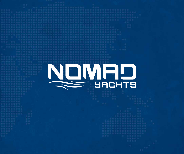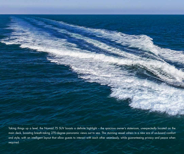

Taking things up a level, the Nomad 75 SUV boasts a definite highlight – the spacious owner's stateroom, unexpectedly located on the main deck, boasting breath-taking 270-degree panoramic views out to sea. This stunning vessel ushers in a new era of on-board comfort and style, with an intelligent layout that allow guests to interact with each other seamlessly, while guaranteeing privacy and peace when required.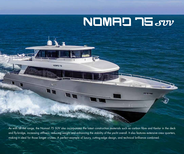## NOMAD 755

 $\leftarrow$ 

As with all the range, the Nomad 75 SUV also incorporates the latest construction materials such as carbon fibre and Kevlar in the deck and fly-bridge, increasing stiffness, reducing weight and enhancing the stability of the yacht overall. It also features extensive crew quarters, making it ideal for those longer cruises. A perfect example of luxury, cutting-edge design, and technical brilliance combined.

**SED** 

NOMRO<sub>75</sub>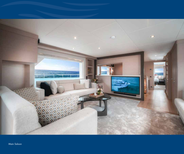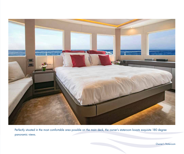

Perfectly situated in the most comfortable area possible on the main deck, the owner's stateroom boasts exquisite 180 degree panoramic views.

Owner's Stateroom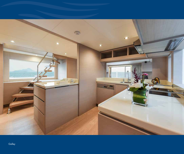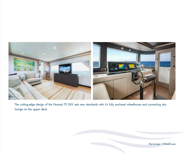

The cutting-edge design of the Nomad 75 SUV sets new standards with it's fully enclosed wheelhouse and connecting skylounge on the upper deck.

Sky-lounge | Wheelhouse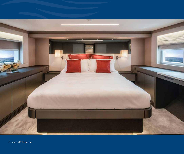

Forward VIP Stateroom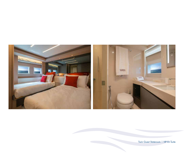

Twin Guest Stateroom | VIP En Suite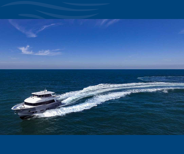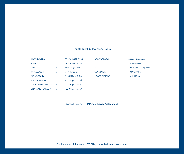## TECHNICAL SPECIFICATIONS

| <b>LENGTH OVERALL</b>       | ÷ | 75 ft 10 in (22.86 m)  |
|-----------------------------|---|------------------------|
| <b>BFAM</b>                 | ÷ | 19 ft 10 in (6.05 m)   |
| <b>DRAFT</b>                | t | 4 ft 11 in (1.50 m)    |
| <b>DISPLACEMENT</b>         | ÷ | 69.81 t Approx.        |
| <b>FUEL CAPACITY</b>        | t | 2,100 US gal (7,950 l) |
| <b>WATER CAPACITY</b>       | t | 400 US gal (1,514 l)   |
| <b>BLACK WATER CAPACITY</b> | ÷ | 100 US gal (379 l)     |
| <b>GREY WATER CAPACITY</b>  | t | 120 US gal (454.70)    |

| <b>ACCOMODATION</b>  |   | <b>4 Guest Staterooms</b> |
|----------------------|---|---------------------------|
|                      |   | 2 Crew Cabins             |
| <b>EN SUITES</b>     |   | 4 En Suites + 1 Day Head  |
| <b>GENERATORS</b>    | ÷ | 33 kW, 50 Hz              |
| <b>POWER OPTIONS</b> | ÷ | $2 \times 1,500$ hp       |
|                      |   |                           |

CLASSIFICATION: RINA/CE (Design Category B)

For the layout of the Nomad 75 SUV, please feel free to contact us.